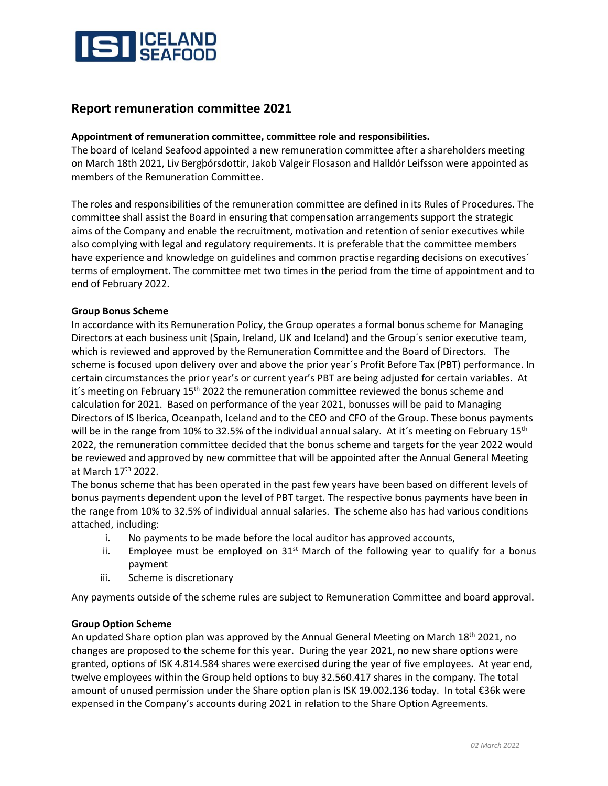

# **Report remuneration committee 2021**

## **Appointment of remuneration committee, committee role and responsibilities.**

The board of Iceland Seafood appointed a new remuneration committee after a shareholders meeting on March 18th 2021, Liv Bergþórsdottir, Jakob Valgeir Flosason and Halldór Leifsson were appointed as members of the Remuneration Committee.

The roles and responsibilities of the remuneration committee are defined in its Rules of Procedures. The committee shall assist the Board in ensuring that compensation arrangements support the strategic aims of the Company and enable the recruitment, motivation and retention of senior executives while also complying with legal and regulatory requirements. It is preferable that the committee members have experience and knowledge on guidelines and common practise regarding decisions on executives<sup>'</sup> terms of employment. The committee met two times in the period from the time of appointment and to end of February 2022.

## **Group Bonus Scheme**

In accordance with its Remuneration Policy, the Group operates a formal bonus scheme for Managing Directors at each business unit (Spain, Ireland, UK and Iceland) and the Group´s senior executive team, which is reviewed and approved by the Remuneration Committee and the Board of Directors. The scheme is focused upon delivery over and above the prior year´s Profit Before Tax (PBT) performance. In certain circumstances the prior year's or current year's PBT are being adjusted for certain variables. At it's meeting on February 15<sup>th</sup> 2022 the remuneration committee reviewed the bonus scheme and calculation for 2021. Based on performance of the year 2021, bonusses will be paid to Managing Directors of IS Iberica, Oceanpath, Iceland and to the CEO and CFO of the Group. These bonus payments will be in the range from 10% to 32.5% of the individual annual salary. At it's meeting on February 15<sup>th</sup> 2022, the remuneration committee decided that the bonus scheme and targets for the year 2022 would be reviewed and approved by new committee that will be appointed after the Annual General Meeting at March 17<sup>th</sup> 2022.

The bonus scheme that has been operated in the past few years have been based on different levels of bonus payments dependent upon the level of PBT target. The respective bonus payments have been in the range from 10% to 32.5% of individual annual salaries. The scheme also has had various conditions attached, including:

- i. No payments to be made before the local auditor has approved accounts,
- ii. Employee must be employed on  $31<sup>st</sup>$  March of the following year to qualify for a bonus payment
- iii. Scheme is discretionary

Any payments outside of the scheme rules are subject to Remuneration Committee and board approval.

### **Group Option Scheme**

An updated Share option plan was approved by the Annual General Meeting on March 18<sup>th</sup> 2021, no changes are proposed to the scheme for this year. During the year 2021, no new share options were granted, options of ISK 4.814.584 shares were exercised during the year of five employees. At year end, twelve employees within the Group held options to buy 32.560.417 shares in the company. The total amount of unused permission under the Share option plan is ISK 19.002.136 today. In total €36k were expensed in the Company's accounts during 2021 in relation to the Share Option Agreements.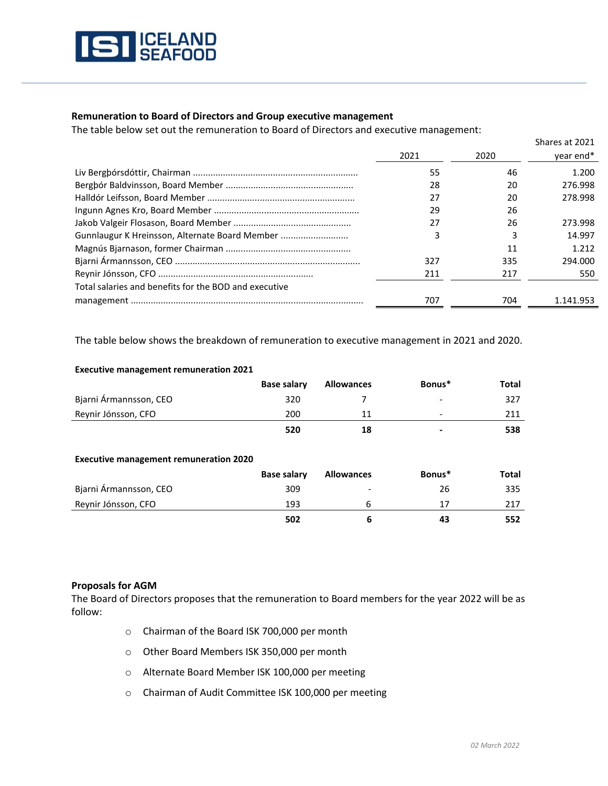

## **Remuneration to Board of Directors and Group executive management**

The table below set out the remuneration to Board of Directors and executive management:

|                                                       |      |      | Shares at 2021 |
|-------------------------------------------------------|------|------|----------------|
|                                                       | 2021 | 2020 | year end*      |
|                                                       | 55   | 46   | 1.200          |
|                                                       | 28   | 20   | 276.998        |
|                                                       | 27   | 20   | 278.998        |
|                                                       | 29   | 26   |                |
|                                                       | 27   | 26   | 273.998        |
| Gunnlaugur K Hreinsson, Alternate Board Member        | 3    |      | 14.997         |
|                                                       |      | 11   | 1.212          |
|                                                       | 327  | 335  | 294.000        |
|                                                       | 211  | 217  | 550            |
| Total salaries and benefits for the BOD and executive |      |      |                |
|                                                       | 707  | 704  | 1.141.953      |

The table below shows the breakdown of remuneration to executive management in 2021 and 2020.

| <b>Executive management remuneration 2021</b> |  |
|-----------------------------------------------|--|
|-----------------------------------------------|--|

|                        | <b>Base salary</b> | <b>Allowances</b> | Bonus* | Total |
|------------------------|--------------------|-------------------|--------|-------|
| Bjarni Ármannsson, CEO | 320                |                   | $\sim$ | 327   |
| Reynir Jónsson, CFO    | 200                |                   |        | 211   |
|                        | 520                | 18                | -      | 538   |

#### **Executive management remuneration 2020**

|                        | <b>Base salary</b> | <b>Allowances</b>        | Bonus* | Total |
|------------------------|--------------------|--------------------------|--------|-------|
| Bjarni Armannsson, CEO | 309                | $\overline{\phantom{a}}$ | 26     | 335   |
| Reynir Jónsson, CFO    | 193                |                          |        | 217   |
|                        | 502                |                          | 43     | 552   |

### **Proposals for AGM**

The Board of Directors proposes that the remuneration to Board members for the year 2022 will be as follow:

- o Chairman of the Board ISK 700,000 per month
- o Other Board Members ISK 350,000 per month
- o Alternate Board Member ISK 100,000 per meeting
- o Chairman of Audit Committee ISK 100,000 per meeting